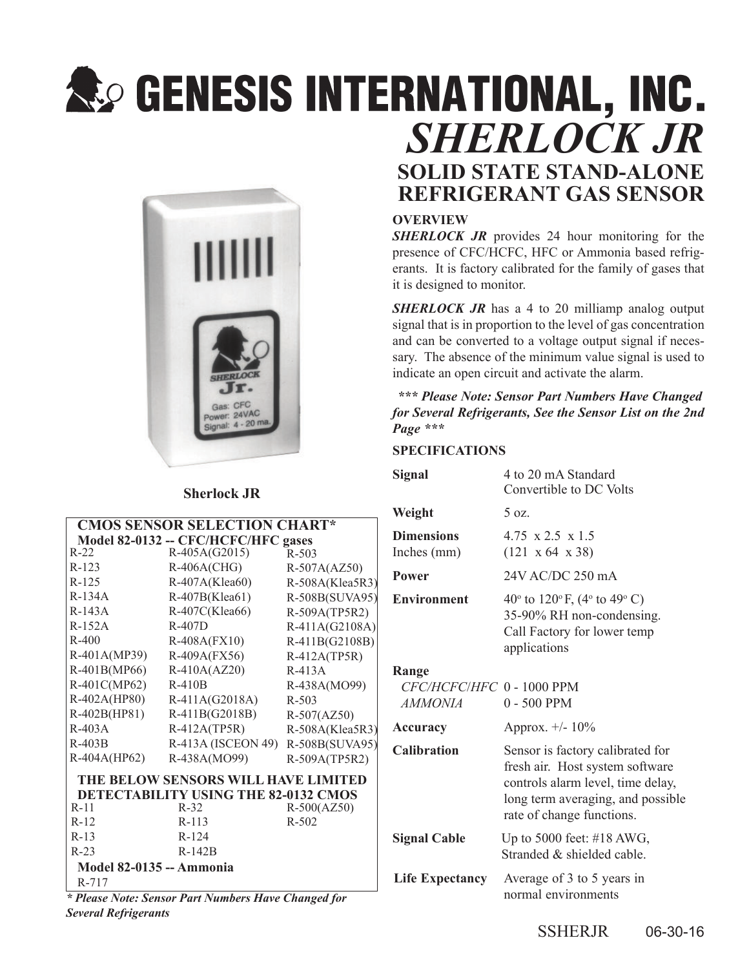# **SECIENT SISTER SERVICE SERVICE SERVICE SERVICE SERVICE SERVICE SERVICE SERVICE SERVICE SERVICE SERVICE SERVICE** *SHERLOCK JR*



### **Sherlock JR**

| <b>CMOS SENSOR SELECTION CHART*</b>  |                    |                 |  |
|--------------------------------------|--------------------|-----------------|--|
| Model 82-0132 -- CFC/HCFC/HFC gases  |                    |                 |  |
| $R-22$                               | $R-405A(G2015)$    | $R - 503$       |  |
| $R-123$                              | $R-406A(CHG)$      | $R-507A(AZ50)$  |  |
| $R-125$                              | R-407A(Klea60)     | R-508A(Klea5R3) |  |
| $R-134A$                             | R-407B(Klea61)     | R-508B(SUVA95)  |  |
| $R-143A$                             | R-407C(Klea66)     | R-509A(TP5R2)   |  |
| $R-152A$                             | $R-407D$           | R-411A(G2108A)  |  |
| $R - 400$                            | $R-408A$ (FX10)    | R-411B(G2108B)  |  |
| R-401A(MP39)                         | R-409A(FX56)       | $R-412A(TP5R)$  |  |
| R-401B(MP66)                         | $R-410A(AZ20)$     | $R-413A$        |  |
| R-401C(MP62)                         | $R-410B$           | R-438A(MO99)    |  |
| R-402A(HP80)                         | $R-411A(G2018A)$   | $R - 503$       |  |
| R-402B(HP81)                         | R-411B(G2018B)     | $R-507(AZ50)$   |  |
| $R-403A$                             | $R-412A(TP5R)$     | R-508A(Klea5R3) |  |
| $R-403B$                             | R-413A (ISCEON 49) | R-508B(SUVA95)  |  |
| R-404A(HP62)                         | R-438A(MO99)       | R-509A(TP5R2)   |  |
| THE BELOW SENSORS WILL HAVE LIMITED  |                    |                 |  |
| DETECTABILITY USING THE 82-0132 CMOS |                    |                 |  |
| $R-11$                               | $R-32$             | $R-500(AZ50)$   |  |
| $R - 12$                             | $R-113$            | $R - 502$       |  |
| $R-13$                               | $R - 124$          |                 |  |
| $R-23$                               | $R-142B$           |                 |  |
| <b>Model 82-0135 -- Ammonia</b>      |                    |                 |  |
| R-717                                |                    |                 |  |

*\* Please Note: Sensor Part Numbers Have Changed for Several Refrigerants*

#### **OVERVIEW**

**SHERLOCK JR** provides 24 hour monitoring for the presence of CFC/HCFC, HFC or Ammonia based refrigerants. It is factory calibrated for the family of gases that it is designed to monitor.

**SOLID STATE STAND-ALONE REFRIGERANT GAS SENSOR**

*SHERLOCK JR* has a 4 to 20 milliamp analog output signal that is in proportion to the level of gas concentration and can be converted to a voltage output signal if necessary. The absence of the minimum value signal is used to indicate an open circuit and activate the alarm.

 *\*\*\* Please Note: Sensor Part Numbers Have Changed for Several Refrigerants, See the Sensor List on the 2nd Page \*\*\**

#### **SPECIFICATIONS**

| <b>Signal</b>                                 | 4 to 20 mA Standard<br>Convertible to DC Volts                                                                                                                             |
|-----------------------------------------------|----------------------------------------------------------------------------------------------------------------------------------------------------------------------------|
| Weight                                        | 5 oz.                                                                                                                                                                      |
| <b>Dimensions</b><br>Inches (mm)              | 4.75 $\times$ 2.5 $\times$ 1.5<br>$(121 \times 64 \times 38)$                                                                                                              |
| <b>Power</b>                                  | 24V AC/DC 250 mA                                                                                                                                                           |
| <b>Environment</b>                            | 40 $\degree$ to 120 $\degree$ F, (4 $\degree$ to 49 $\degree$ C)<br>35-90% RH non-condensing.<br>Call Factory for lower temp<br>applications                               |
| Range<br>CFC/HCFC/HFC 0 - 1000 PPM<br>AMMONIA | $0 - 500$ PPM                                                                                                                                                              |
| Accuracy                                      | Approx. $+/- 10\%$                                                                                                                                                         |
| <b>Calibration</b>                            | Sensor is factory calibrated for<br>fresh air. Host system software<br>controls alarm level, time delay,<br>long term averaging, and possible<br>rate of change functions. |
| <b>Signal Cable</b>                           | Up to 5000 feet: $\#18$ AWG,<br>Stranded & shielded cable.                                                                                                                 |
| <b>Life Expectancy</b>                        | Average of 3 to 5 years in<br>normal environments                                                                                                                          |